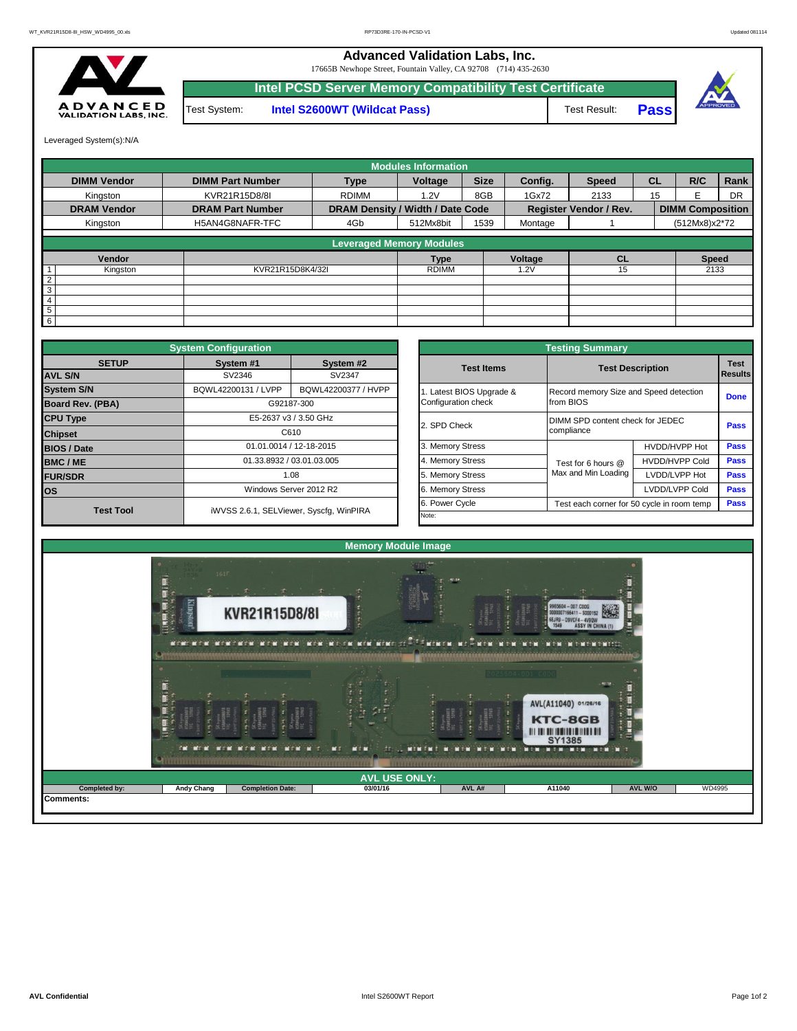**Advanced Validation Labs, Inc.** 

17665B Newhope Street, Fountain Valley, CA 92708 (714) 435-2630



**Intel S2600WT (Wildcat Pass)** Test Result: **Pass Intel PCSD Server Memory Compatibility Test Certificate** Test System:



Leveraged System(s):N/A

|                    |                         |                                  | <b>Modules Information</b> |             |         |                               |           |                         |           |  |  |
|--------------------|-------------------------|----------------------------------|----------------------------|-------------|---------|-------------------------------|-----------|-------------------------|-----------|--|--|
| <b>DIMM Vendor</b> | <b>DIMM Part Number</b> | <b>Type</b>                      | Voltage                    | <b>Size</b> | Config. | <b>Speed</b>                  | <b>CL</b> | R/C                     | Rank      |  |  |
| Kingston           | KVR21R15D8/8I           | <b>RDIMM</b>                     | 1.2V                       | 8GB         | 1Gx72   | 2133                          | 15        |                         | <b>DR</b> |  |  |
| <b>DRAM Vendor</b> | <b>DRAM Part Number</b> | DRAM Density / Width / Date Code |                            |             |         | <b>Register Vendor / Rev.</b> |           | <b>DIMM Composition</b> |           |  |  |
| Kingston           | H5AN4G8NAFR-TFC         | 4Gb                              | 512Mx8bit                  | 1539        | Montage |                               |           | (512Mx8)x2*72           |           |  |  |
|                    |                         | <b>Leveraged Memory Modules</b>  |                            |             |         |                               |           |                         |           |  |  |
| Vendor             |                         |                                  | <b>Type</b>                |             | Voltage | <b>CL</b>                     |           | <b>Speed</b>            |           |  |  |
| Kingston           | KVR21R15D8K4/32I        |                                  | <b>RDIMM</b>               |             | .2V     | 15                            |           | 2133                    |           |  |  |
| $\overline{2}$     |                         |                                  |                            |             |         |                               |           |                         |           |  |  |
| 3                  |                         |                                  |                            |             |         |                               |           |                         |           |  |  |
| 4                  |                         |                                  |                            |             |         |                               |           |                         |           |  |  |
| 5                  |                         |                                  |                            |             |         |                               |           |                         |           |  |  |
| 6                  |                         |                                  |                            |             |         |                               |           |                         |           |  |  |

|                                | <b>System Configuration</b> |                                         |  |                                                              | <b>Testing Summary</b>                 |                        |             |  |  |  |  |
|--------------------------------|-----------------------------|-----------------------------------------|--|--------------------------------------------------------------|----------------------------------------|------------------------|-------------|--|--|--|--|
| <b>SETUP</b><br><b>AVL S/N</b> | System #1<br>SV2346         | System #2<br>SV2347                     |  | <b>Test Items</b>                                            | <b>Test Description</b>                | <b>Test</b><br>Results |             |  |  |  |  |
| <b>System S/N</b>              | BQWL42200131 / LVPP         | BQWL42200377 / HVPP                     |  | Latest BIOS Upgrade &                                        | Record memory Size and Speed detection |                        |             |  |  |  |  |
| <b>Board Rev. (PBA)</b>        |                             | G92187-300                              |  | Configuration check                                          | from BIOS                              |                        | <b>Done</b> |  |  |  |  |
| <b>CPU Type</b>                |                             | E5-2637 v3 / 3.50 GHz                   |  | 2. SPD Check                                                 | DIMM SPD content check for JEDEC       | Pass                   |             |  |  |  |  |
| <b>Chipset</b>                 | C610                        |                                         |  | compliance                                                   |                                        |                        |             |  |  |  |  |
| <b>BIOS / Date</b>             |                             | 01.01.0014 / 12-18-2015                 |  | 3. Memory Stress                                             |                                        | HVDD/HVPP Hot          | <b>Pass</b> |  |  |  |  |
| <b>BMC/ME</b>                  |                             | 01.33.8932 / 03.01.03.005               |  | 4. Memory Stress                                             | Test for 6 hours @                     | <b>HVDD/HVPP Cold</b>  | <b>Pass</b> |  |  |  |  |
| <b>FUR/SDR</b>                 |                             | 1.08                                    |  | 5. Memory Stress                                             | Max and Min Loading                    | LVDD/LVPP Hot          | <b>Pass</b> |  |  |  |  |
| <b>los</b>                     |                             | Windows Server 2012 R2                  |  | 6. Memory Stress                                             |                                        | LVDD/LVPP Cold         | Pass        |  |  |  |  |
| <b>Test Tool</b>               |                             | iWVSS 2.6.1, SELViewer, Syscfg, WinPIRA |  | 6. Power Cycle<br>Test each corner for 50 cycle in room temp |                                        |                        |             |  |  |  |  |
|                                |                             |                                         |  | Note:                                                        |                                        |                        |             |  |  |  |  |

|              | <b>System Configuration</b> |                                         | <b>Testing Summary</b>                                       |                                                |                       |      |  |  |  |  |
|--------------|-----------------------------|-----------------------------------------|--------------------------------------------------------------|------------------------------------------------|-----------------------|------|--|--|--|--|
| <b>SETUP</b> | System #1                   | System #2                               | <b>Test Items</b>                                            | <b>Test Description</b>                        |                       |      |  |  |  |  |
|              | SV2346                      | SV2347                                  |                                                              |                                                |                       |      |  |  |  |  |
|              | BQWL42200131 / LVPP         | BQWL42200377 / HVPP                     | Latest BIOS Upgrade &                                        | Record memory Size and Speed detection         |                       |      |  |  |  |  |
| PBA)         |                             | G92187-300                              | Configuration check                                          | from BIOS                                      |                       |      |  |  |  |  |
|              |                             | E5-2637 v3 / 3.50 GHz                   | 2. SPD Check                                                 | DIMM SPD content check for JEDEC<br>compliance |                       |      |  |  |  |  |
|              |                             | C610                                    |                                                              |                                                |                       |      |  |  |  |  |
|              |                             | 01.01.0014 / 12-18-2015                 | 3. Memory Stress                                             |                                                | HVDD/HVPP Hot         |      |  |  |  |  |
|              |                             | 01.33.8932 / 03.01.03.005               | 4. Memory Stress<br>Test for 6 hours @                       |                                                | <b>HVDD/HVPP Cold</b> |      |  |  |  |  |
|              |                             | 1.08                                    | 5. Memory Stress                                             | Max and Min Loading                            | LVDD/LVPP Hot         |      |  |  |  |  |
|              |                             | Windows Server 2012 R2                  | 6. Memory Stress                                             |                                                | LVDD/LVPP Cold        | Pass |  |  |  |  |
|              |                             |                                         | 6. Power Cycle<br>Test each corner for 50 cycle in room temp |                                                |                       |      |  |  |  |  |
| est Tool     |                             | iWVSS 2.6.1, SELViewer, Syscfg, WinPIRA | Note:                                                        |                                                |                       |      |  |  |  |  |